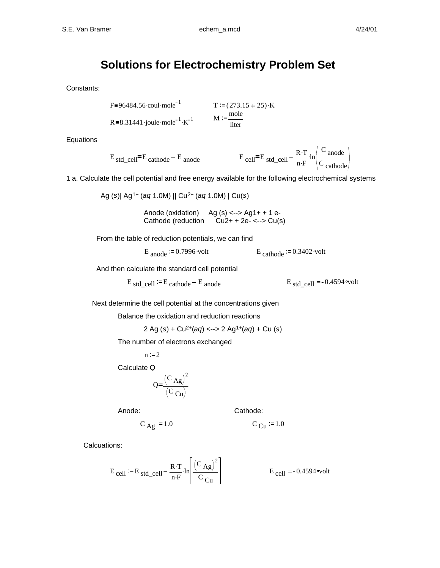## **Solutions for Electrochemistry Problem Set**

Constants:

F≡96484.56 coul-mole<sup>-1</sup> T := (273.15 + 25) · K  
R≡8.31441 joule-mole<sup>-1</sup> · K<sup>-1</sup> M := 
$$
\frac{\text{mole}}{\text{liter}}
$$

Equations

$$
E_{std\_cell} = E_{cathode} - E_{anode}
$$
  

$$
E_{cell} = E_{std\_cell} - \frac{R \cdot T}{n \cdot F} \cdot ln \left( \frac{C_{anode}}{C_{cathode}} \right)
$$

1 a. Calculate the cell potential and free energy available for the following electrochemical systems

Ag (*s*)| Ag1+ (*aq* 1.0M) || Cu2+ (*aq* 1.0M) | Cu(*s*)

Anode (oxidation) Ag  $(s)$  <--> Ag1+ + 1 e-Cathode (reduction  $Cu2+ + 2e- \leq -\leq Cu(s)$ 

From the table of reduction potentials, we can find

 $E_{\text{anode}} := 0.7996 \cdot \text{volt}$   $E_{\text{cathode}} := 0.3402 \cdot \text{volt}$ 

$$
E_{\text{cathode}} := 0.3402 \text{ vo}
$$

And then calculate the standard cell potential

$$
E_{std\_cell}
$$
 := E cathode – E anode  $E_{std\_cell}$  = -0.4594~volt

Next determine the cell potential at the concentrations given

Balance the oxidation and reduction reactions

$$
2 Ag(s) + Cu^{2+}(aq) \leq -2 Ag^{1+}(aq) + Cu(s)
$$

The number of electrons exchanged

$$
n := 2
$$

Calculate Q

$$
Q = \frac{(C_{Ag})^2}{(C_{Cu})}
$$

Anode: Cathode:

Calcuations:

$$
E_{cell} := E_{std\_cell} - \frac{R \cdot T}{n \cdot F} \cdot \ln \left[ \frac{(C_{Ag})^2}{C_{Cu}} \right]
$$
  
 
$$
E_{cell} = -0.4594 \text{ volt}
$$

 $C_{\text{Ag}} := 1.0$   $C_{\text{Cu}} := 1.0$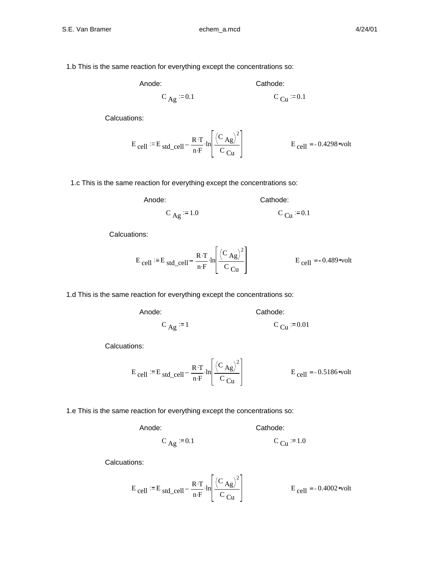1.b This is the same reaction for everything except the concentrations so:

Anode: Cathode:

$$
C_{\text{Ag}} := 0.1
$$
 C<sub>Cu</sub> := 0.1

Calcuations:

$$
E_{\text{cell}} := E_{\text{std\_cell}} - \frac{R \cdot T}{n \cdot F} \cdot \ln \left[ \frac{(C_{\text{Ag}})^2}{C_{\text{Cu}}} \right]
$$
  
 
$$
E_{\text{cell}} = -0.4298 \text{ volt}
$$

1.c This is the same reaction for everything except the concentrations so:

Anode:

$$
C_{Ag} := 1.0
$$
 
$$
C_{Cu} := 0.1
$$

Calcuations:

$$
E_{cell} := E_{std\_cell} - \frac{R \cdot T}{n \cdot F} \cdot \ln \left[ \frac{(C_{Ag})^2}{C_{Cu}} \right]
$$
  
 
$$
E_{cell} = -0.489 \text{ volt}
$$

1.d This is the same reaction for everything except the concentrations so:

Anode: Cathode:

$$
C_{\text{Ag}} := 1
$$
 
$$
C_{\text{Cu}} := 0.01
$$

Calcuations:

$$
E_{cell} := E_{std\_cell} - \frac{R \cdot T}{n \cdot F} \cdot \ln \left[ \frac{(C_{Ag})^2}{C_{Cu}} \right]
$$
  
 
$$
E_{cell} = -0.5186 \text{ volt}
$$

1.e This is the same reaction for everything except the concentrations so:

Anode: Cathode:

$$
C_{Ag} := 0.1
$$
  $C_{Cu} := 1.0$ 

Calcuations:

$$
E_{cell} := E_{std\_cell} - \frac{R \cdot T}{n \cdot F} \cdot \ln \left[ \frac{(C_{Ag})^2}{C_{Cu}} \right]
$$
  
 
$$
E_{cell} = -0.4002 \text{ volt}
$$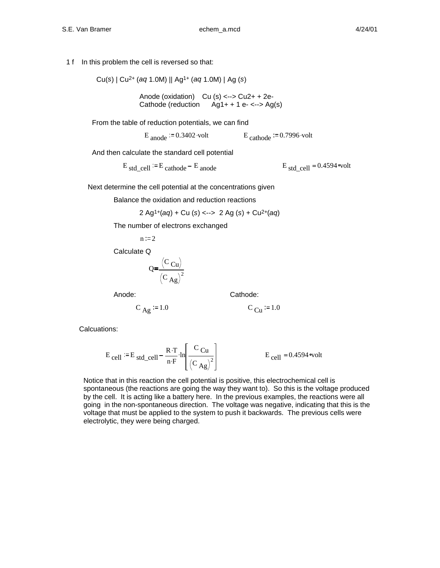1 f In this problem the cell is reversed so that:

Cu(*s*) | Cu2+ (*aq* 1.0M) || Ag1+ (*aq* 1.0M) | Ag (*s*)

Anode (oxidation) Cu (s) <--> Cu2+ + 2e-Cathode (reduction  $\angle$  Ag1+ + 1 e- <--> Ag(s)

From the table of reduction potentials, we can find

 $E_{\text{anode}} = 0.3402 \text{ volt}$  . E cathode  $= 0.7996 \text{ volt}$ 

And then calculate the standard cell potential

$$
E_{std\_cell}
$$
 := E cathode – E anode  $E_{std\_cell}$  = 0.4594<sup>°</sup>volt

Next determine the cell potential at the concentrations given

Balance the oxidation and reduction reactions

$$
2 \text{ Ag}^{1+}(aq) + \text{Cu} \ (s) \ \text{---} \ 2 \text{ Ag} \ (s) + \text{Cu}^{2+}(aq)
$$

The number of electrons exchanged

$$
n:=2
$$

Calculate Q

$$
Q = \frac{(C_{\text{Cu}})}{(C_{\text{Ag}})^2}
$$

Anode: Cathode:

$$
C_{\text{Ag}} := 1.0
$$

1.0 C  $_{\text{Cu}} := 1.0$ 

Calcuations:

$$
E_{cell} := E_{std\_cell} - \frac{R \cdot T}{n \cdot F} \cdot \ln \left[ \frac{C_{Cu}}{(C_{Ag})^2} \right]
$$
  
 
$$
E_{cell} = 0.4594 \text{ volt}
$$

Notice that in this reaction the cell potential is positive, this electrochemical cell is spontaneous (the reactions are going the way they want to). So this is the voltage produced by the cell. It is acting like a battery here. In the previous examples, the reactions were all going in the non-spontaneous direction. The voltage was negative, indicating that this is the voltage that must be applied to the system to push it backwards. The previous cells were electrolytic, they were being charged.